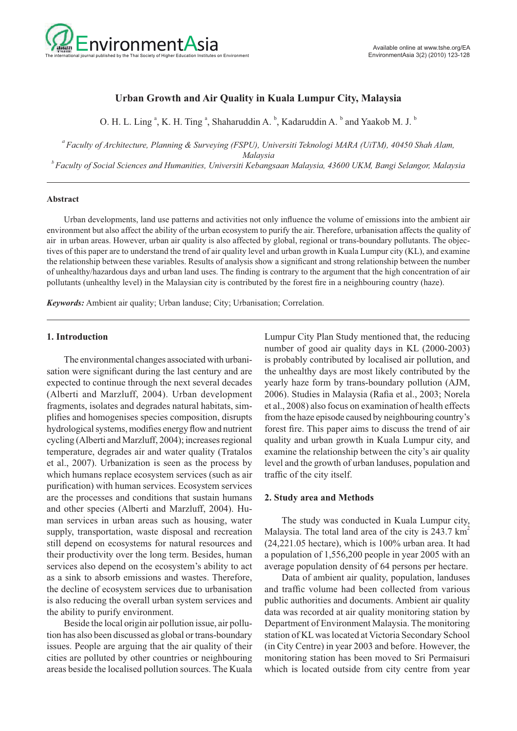

# **Urban Growth and Air Quality in Kuala Lumpur City, Malaysia**

O. H. L. Ling<sup>a</sup>, K. H. Ting<sup>a</sup>, Shaharuddin A.  $\overline{b}$ , Kadaruddin A.  $\overline{b}$  and Yaakob M. J.  $\overline{b}$ 

*a Faculty of Architecture, Planning & Surveying (FSPU), Universiti Teknologi MARA (UiTM), 40450 Shah Alam, Malaysia*

*b Faculty of Social Sciences and Humanities, Universiti Kebangsaan Malaysia, 43600 UKM, Bangi Selangor, Malaysia*

#### **Abstract**

 Urban developments, land use patterns and activities not only influence the volume of emissions into the ambient air environment but also affect the ability of the urban ecosystem to purify the air. Therefore, urbanisation affects the quality of air in urban areas. However, urban air quality is also affected by global, regional or trans-boundary pollutants. The objectives of this paper are to understand the trend of air quality level and urban growth in Kuala Lumpur city (KL), and examine the relationship between these variables. Results of analysis show a significant and strong relationship between the number of unhealthy/hazardous days and urban land uses. The finding is contrary to the argument that the high concentration of air pollutants (unhealthy level) in the Malaysian city is contributed by the forest fire in a neighbouring country (haze).

*Keywords:* Ambient air quality; Urban landuse; City; Urbanisation; Correlation.

# **1. Introduction**

 The environmental changes associated with urbanisation were significant during the last century and are expected to continue through the next several decades (Alberti and Marzluff, 2004). Urban development fragments, isolates and degrades natural habitats, simplifies and homogenises species composition, disrupts hydrological systems, modifies energy flow and nutrient cycling (Alberti and Marzluff, 2004); increases regional temperature, degrades air and water quality (Tratalos et al., 2007). Urbanization is seen as the process by which humans replace ecosystem services (such as air purification) with human services. Ecosystem services are the processes and conditions that sustain humans and other species (Alberti and Marzluff, 2004). Human services in urban areas such as housing, water supply, transportation, waste disposal and recreation still depend on ecosystems for natural resources and their productivity over the long term. Besides, human services also depend on the ecosystem's ability to act as a sink to absorb emissions and wastes. Therefore, the decline of ecosystem services due to urbanisation is also reducing the overall urban system services and the ability to purify environment.

 Beside the local origin air pollution issue, air pollution has also been discussed as global or trans-boundary issues. People are arguing that the air quality of their cities are polluted by other countries or neighbouring areas beside the localised pollution sources. The Kuala Lumpur City Plan Study mentioned that, the reducing number of good air quality days in KL (2000-2003) is probably contributed by localised air pollution, and the unhealthy days are most likely contributed by the yearly haze form by trans-boundary pollution (AJM, 2006). Studies in Malaysia (Rafia et al., 2003; Norela et al., 2008) also focus on examination of health effects from the haze episode caused by neighbouring country's forest fire. This paper aims to discuss the trend of air quality and urban growth in Kuala Lumpur city, and examine the relationship between the city's air quality level and the growth of urban landuses, population and traffic of the city itself.

### **2. Study area and Methods**

 The study was conducted in Kuala Lumpur city, Malaysia. The total land area of the city is  $243.7 \text{ km}^2$ (24,221.05 hectare), which is 100% urban area. It had a population of 1,556,200 people in year 2005 with an average population density of 64 persons per hectare.

 Data of ambient air quality, population, landuses and traffic volume had been collected from various public authorities and documents. Ambient air quality data was recorded at air quality monitoring station by Department of Environment Malaysia. The monitoring station of KL was located at Victoria Secondary School (in City Centre) in year 2003 and before. However, the monitoring station has been moved to Sri Permaisuri which is located outside from city centre from year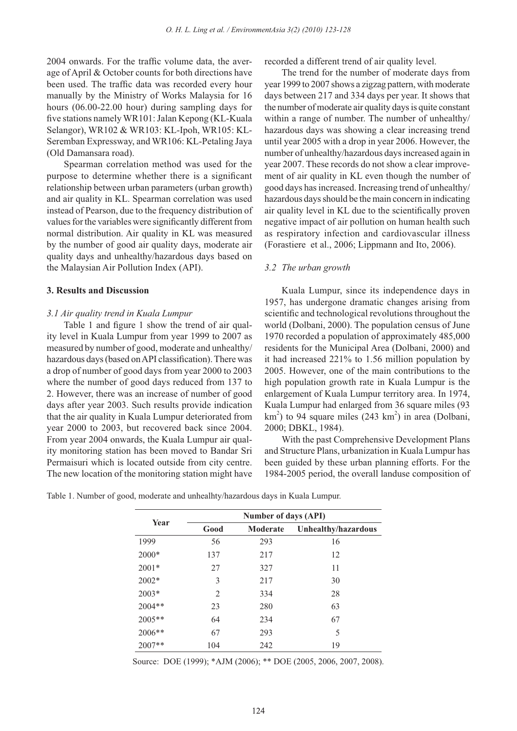2004 onwards. For the traffic volume data, the average of April & October counts for both directions have been used. The traffic data was recorded every hour manually by the Ministry of Works Malaysia for 16 hours (06.00-22.00 hour) during sampling days for five stations namely WR101: Jalan Kepong (KL-Kuala Selangor), WR102 & WR103: KL-Ipoh, WR105: KL-Seremban Expressway, and WR106: KL-Petaling Jaya (Old Damansara road).

 Spearman correlation method was used for the purpose to determine whether there is a significant relationship between urban parameters (urban growth) and air quality in KL. Spearman correlation was used instead of Pearson, due to the frequency distribution of values for the variables were significantly different from normal distribution. Air quality in KL was measured by the number of good air quality days, moderate air quality days and unhealthy/hazardous days based on the Malaysian Air Pollution Index (API).

### **3. Results and Discussion**

### *3.1 Air quality trend in Kuala Lumpur*

 Table 1 and figure 1 show the trend of air quality level in Kuala Lumpur from year 1999 to 2007 as measured by number of good, moderate and unhealthy/ hazardous days (based on API classification). There was a drop of number of good days from year 2000 to 2003 where the number of good days reduced from 137 to 2. However, there was an increase of number of good days after year 2003. Such results provide indication that the air quality in Kuala Lumpur deteriorated from year 2000 to 2003, but recovered back since 2004. From year 2004 onwards, the Kuala Lumpur air quality monitoring station has been moved to Bandar Sri Permaisuri which is located outside from city centre. The new location of the monitoring station might have recorded a different trend of air quality level.

 The trend for the number of moderate days from year 1999 to 2007 shows a zigzag pattern, with moderate days between 217 and 334 days per year. It shows that the number of moderate air quality days is quite constant within a range of number. The number of unhealthy/ hazardous days was showing a clear increasing trend until year 2005 with a drop in year 2006. However, the number of unhealthy/hazardous days increased again in year 2007. These records do not show a clear improvement of air quality in KL even though the number of good days has increased. Increasing trend of unhealthy/ hazardous days should be the main concern in indicating air quality level in KL due to the scientifically proven negative impact of air pollution on human health such as respiratory infection and cardiovascular illness (Forastiere et al., 2006; Lippmann and Ito, 2006).

### *3.2 The urban growth*

 Kuala Lumpur, since its independence days in 1957, has undergone dramatic changes arising from scientific and technological revolutions throughout the world (Dolbani, 2000). The population census of June 1970 recorded a population of approximately 485,000 residents for the Municipal Area (Dolbani, 2000) and it had increased 221% to 1.56 million population by 2005. However, one of the main contributions to the high population growth rate in Kuala Lumpur is the enlargement of Kuala Lumpur territory area. In 1974, Kuala Lumpur had enlarged from 36 square miles (93  $km<sup>2</sup>$ ) to 94 square miles (243 km<sup>2</sup>) in area (Dolbani, 2000; DBKL, 1984).

 With the past Comprehensive Development Plans and Structure Plans, urbanization in Kuala Lumpur has been guided by these urban planning efforts. For the 1984-2005 period, the overall landuse composition of

| Year   | Number of days (API) |          |                     |  |  |  |
|--------|----------------------|----------|---------------------|--|--|--|
|        | Good                 | Moderate | Unhealthy/hazardous |  |  |  |
| 1999   | 56                   | 293      | 16                  |  |  |  |
| 2000*  | 137                  | 217      | 12                  |  |  |  |
| 2001*  | 27                   | 327      | 11                  |  |  |  |
| 2002*  | 3                    | 217      | 30                  |  |  |  |
| 2003*  | $\overline{2}$       | 334      | 28                  |  |  |  |
| 2004** | 23                   | 280      | 63                  |  |  |  |
| 2005** | 64                   | 234      | 67                  |  |  |  |
| 2006** | 67                   | 293      | 5                   |  |  |  |
| 2007** | 104                  | 242      | 19                  |  |  |  |

Table 1. Number of good, moderate and unhealhty/hazardous days in Kuala Lumpur.

Source: DOE (1999); \*AJM (2006); \*\* DOE (2005, 2006, 2007, 2008).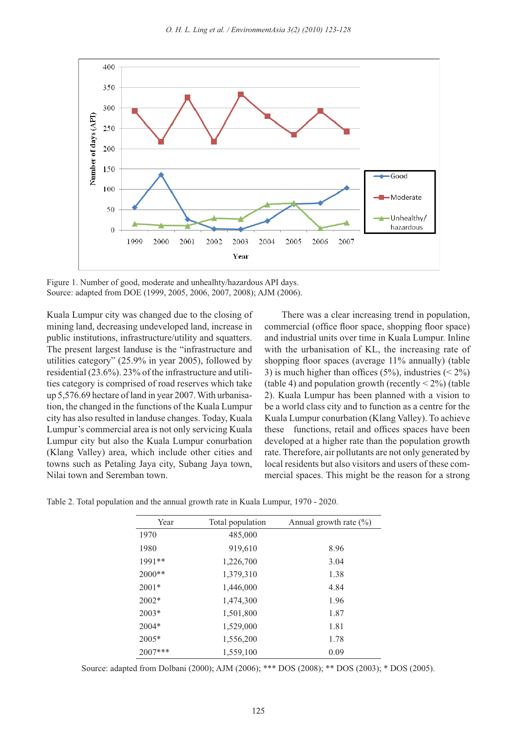

Figure 1. Number of good, moderate and unhealhty/hazardous API days. Source: adapted from DOE (1999, 2005, 2006, 2007, 2008); AJM (2006).

Kuala Lumpur city was changed due to the closing of mining land, decreasing undeveloped land, increase in public institutions, infrastructure/utility and squatters. The present largest landuse is the "infrastructure and utilities category" (25.9% in year 2005), followed by residential (23.6%). 23% of the infrastructure and utilities category is comprised of road reserves which take up 5,576.69 hectare of land in year 2007. With urbanisation, the changed in the functions of the Kuala Lumpur city has also resulted in landuse changes. Today, Kuala Lumpur's commercial area is not only servicing Kuala Lumpur city but also the Kuala Lumpur conurbation (Klang Valley) area, which include other cities and towns such as Petaling Jaya city, Subang Jaya town, Nilai town and Seremban town.

 There was a clear increasing trend in population, commercial (office floor space, shopping floor space) and industrial units over time in Kuala Lumpur. Inline with the urbanisation of KL, the increasing rate of shopping floor spaces (average 11% annually) (table 3) is much higher than offices (5%), industries ( $\leq 2\%$ ) (table 4) and population growth (recently  $\leq 2\%$ ) (table 2). Kuala Lumpur has been planned with a vision to be a world class city and to function as a centre for the Kuala Lumpur conurbation (Klang Valley). To achieve these functions, retail and offices spaces have been developed at a higher rate than the population growth rate. Therefore, air pollutants are not only generated by local residents but also visitors and users of these commercial spaces. This might be the reason for a strong

Table 2. Total population and the annual growth rate in Kuala Lumpur, 1970 - 2020.

| Year    | Total population | Annual growth rate $(\%)$ |  |  |
|---------|------------------|---------------------------|--|--|
| 1970    | 485,000          |                           |  |  |
| 1980    | 919,610          | 8.96                      |  |  |
| 1991**  | 1,226,700        | 3.04                      |  |  |
| 2000**  | 1,379,310        | 1.38                      |  |  |
| $2001*$ | 1,446,000        | 4.84                      |  |  |
| $2002*$ | 1,474,300        | 1.96                      |  |  |
| $2003*$ | 1,501,800        | 1.87                      |  |  |
| $2004*$ | 1,529,000        | 1.81                      |  |  |
| $2005*$ | 1,556,200        | 1.78                      |  |  |
| 2007*** | 1,559,100        | 0.09                      |  |  |

Source: adapted from Dolbani (2000); AJM (2006); \*\*\* DOS (2008); \*\* DOS (2003); \* DOS (2005).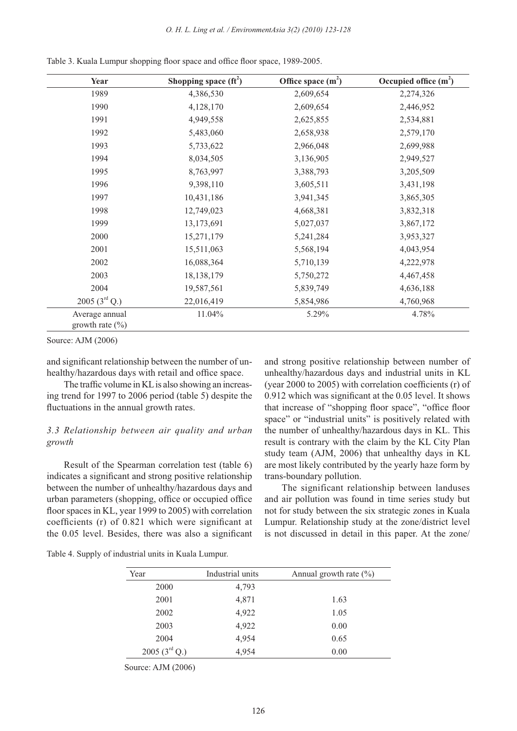| Year                                  | Shopping space $(f_t^2)$ | Office space $(m2)$ | Occupied office $(m2)$ |
|---------------------------------------|--------------------------|---------------------|------------------------|
| 1989                                  | 4,386,530                | 2,609,654           | 2,274,326              |
| 1990                                  | 4,128,170                | 2,609,654           | 2,446,952              |
| 1991                                  | 4,949,558                | 2,625,855           | 2,534,881              |
| 1992                                  | 5,483,060                | 2,658,938           | 2,579,170              |
| 1993                                  | 5,733,622                | 2,966,048           | 2,699,988              |
| 1994                                  | 8,034,505                | 3,136,905           | 2,949,527              |
| 1995                                  | 8,763,997                | 3,388,793           | 3,205,509              |
| 1996                                  | 9,398,110                | 3,605,511           | 3,431,198              |
| 1997                                  | 10,431,186               | 3,941,345           | 3,865,305              |
| 1998                                  | 12,749,023               | 4,668,381           | 3,832,318              |
| 1999                                  | 13,173,691               | 5,027,037           | 3,867,172              |
| 2000                                  | 15,271,179               | 5,241,284           | 3,953,327              |
| 2001                                  | 15,511,063               | 5,568,194           | 4,043,954              |
| 2002                                  | 16,088,364               | 5,710,139           | 4,222,978              |
| 2003                                  | 18, 138, 179             | 5,750,272           | 4,467,458              |
| 2004                                  | 19,587,561               | 5,839,749           | 4,636,188              |
| 2005 $(3^{\text{rd}} Q.)$             | 22,016,419               | 5,854,986           | 4,760,968              |
| Average annual<br>growth rate $(\% )$ | 11.04%                   | 5.29%               | 4.78%                  |

Table 3. Kuala Lumpur shopping floor space and office floor space, 1989-2005.

Source: AJM (2006)

and significant relationship between the number of unhealthy/hazardous days with retail and office space.

 The traffic volume in KL is also showing an increasing trend for 1997 to 2006 period (table 5) despite the fluctuations in the annual growth rates.

## *3.3 Relationship between air quality and urban growth*

 Result of the Spearman correlation test (table 6) indicates a significant and strong positive relationship between the number of unhealthy/hazardous days and urban parameters (shopping, office or occupied office floor spaces in KL, year 1999 to 2005) with correlation coefficients (r) of 0.821 which were significant at the 0.05 level. Besides, there was also a significant and strong positive relationship between number of unhealthy/hazardous days and industrial units in KL (year 2000 to 2005) with correlation coefficients (r) of 0.912 which was significant at the 0.05 level. It shows that increase of "shopping floor space", "office floor space" or "industrial units" is positively related with the number of unhealthy/hazardous days in KL. This result is contrary with the claim by the KL City Plan study team (AJM, 2006) that unhealthy days in KL are most likely contributed by the yearly haze form by trans-boundary pollution.

 The significant relationship between landuses and air pollution was found in time series study but not for study between the six strategic zones in Kuala Lumpur. Relationship study at the zone/district level is not discussed in detail in this paper. At the zone/

Table 4. Supply of industrial units in Kuala Lumpur.

| Year                      | Industrial units | Annual growth rate $(\% )$ |
|---------------------------|------------------|----------------------------|
| 2000                      | 4,793            |                            |
| 2001                      | 4,871            | 1.63                       |
| 2002                      | 4,922            | 1.05                       |
| 2003                      | 4,922            | 0.00                       |
| 2004                      | 4,954            | 0.65                       |
| 2005 $(3^{\text{rd}} Q.)$ | 4,954            | 0.00                       |

Source: AJM (2006)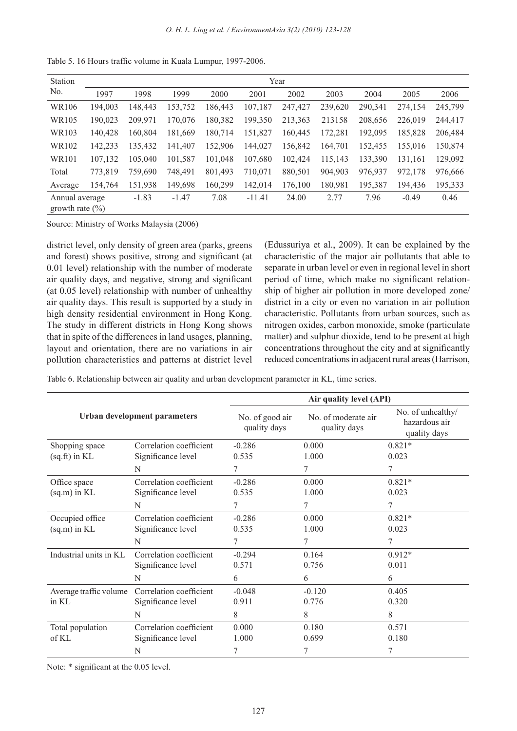| Station                               | Year    |         |         |         |          |         |         |         |         |         |
|---------------------------------------|---------|---------|---------|---------|----------|---------|---------|---------|---------|---------|
| No.                                   | 1997    | 1998    | 1999    | 2000    | 2001     | 2002    | 2003    | 2004    | 2005    | 2006    |
| WR106                                 | 194,003 | 148,443 | 153,752 | 186,443 | 107,187  | 247,427 | 239,620 | 290,341 | 274,154 | 245,799 |
| WR105                                 | 190,023 | 209,971 | 170,076 | 180,382 | 199,350  | 213,363 | 213158  | 208,656 | 226,019 | 244,417 |
| WR103                                 | 140,428 | 160,804 | 181,669 | 180,714 | 151,827  | 160,445 | 172,281 | 192,095 | 185.828 | 206,484 |
| WR102                                 | 142,233 | 135,432 | 141,407 | 152,906 | 144,027  | 156,842 | 164.701 | 152.455 | 155,016 | 150,874 |
| <b>WR101</b>                          | 107,132 | 105,040 | 101,587 | 101.048 | 107,680  | 102,424 | 115,143 | 133,390 | 131.161 | 129,092 |
| Total                                 | 773,819 | 759,690 | 748,491 | 801,493 | 710,071  | 880,501 | 904,903 | 976,937 | 972,178 | 976,666 |
| Average                               | 154,764 | 151,938 | 149,698 | 160,299 | 142,014  | 176,100 | 180,981 | 195,387 | 194.436 | 195,333 |
| Annual average<br>growth rate $(\% )$ |         | $-1.83$ | $-1.47$ | 7.08    | $-11.41$ | 24.00   | 2.77    | 7.96    | $-0.49$ | 0.46    |

Table 5. 16 Hours traffic volume in Kuala Lumpur, 1997-2006.

Source: Ministry of Works Malaysia (2006)

district level, only density of green area (parks, greens and forest) shows positive, strong and significant (at 0.01 level) relationship with the number of moderate air quality days, and negative, strong and significant (at 0.05 level) relationship with number of unhealthy air quality days. This result is supported by a study in high density residential environment in Hong Kong. The study in different districts in Hong Kong shows that in spite of the differences in land usages, planning, layout and orientation, there are no variations in air pollution characteristics and patterns at district level (Edussuriya et al., 2009). It can be explained by the characteristic of the major air pollutants that able to separate in urban level or even in regional level in short period of time, which make no significant relationship of higher air pollution in more developed zone/ district in a city or even no variation in air pollution characteristic. Pollutants from urban sources, such as nitrogen oxides, carbon monoxide, smoke (particulate matter) and sulphur dioxide, tend to be present at high concentrations throughout the city and at significantly reduced concentrations in adjacent rural areas (Harrison,

Table 6. Relationship between air quality and urban development parameter in KL, time series.

|                        |                              | Air quality level (API)         |                                     |                                                    |  |  |
|------------------------|------------------------------|---------------------------------|-------------------------------------|----------------------------------------------------|--|--|
|                        | Urban development parameters | No. of good air<br>quality days | No. of moderate air<br>quality days | No. of unhealthy/<br>hazardous air<br>quality days |  |  |
| Shopping space         | Correlation coefficient      | $-0.286$                        | 0.000                               | $0.821*$                                           |  |  |
| $(sq.fr)$ in KL        | Significance level           | 0.535                           | 1.000                               | 0.023                                              |  |  |
|                        | N                            | 7                               | 7                                   | 7                                                  |  |  |
| Office space           | Correlation coefficient      | $-0.286$                        | 0.000                               | $0.821*$                                           |  |  |
| $(sq.m)$ in KL         | Significance level           | 0.535                           | 1.000                               | 0.023                                              |  |  |
|                        | N                            | 7                               | 7                                   | 7                                                  |  |  |
| Occupied office        | Correlation coefficient      | $-0.286$                        | 0.000                               | $0.821*$                                           |  |  |
| $(sq.m)$ in KL         | Significance level           | 0.535                           | 1.000                               | 0.023                                              |  |  |
|                        | N                            | 7                               | 7                                   | 7                                                  |  |  |
| Industrial units in KL | Correlation coefficient      | $-0.294$                        | 0.164                               | $0.912*$                                           |  |  |
|                        | Significance level           | 0.571                           | 0.756                               | 0.011                                              |  |  |
|                        | N                            | 6                               | 6                                   | 6                                                  |  |  |
| Average traffic volume | Correlation coefficient      | $-0.048$                        | $-0.120$                            | 0.405                                              |  |  |
| in KL                  | Significance level           | 0.911                           | 0.776                               | 0.320                                              |  |  |
|                        | N                            | 8                               | 8                                   | 8                                                  |  |  |
| Total population       | Correlation coefficient      | 0.000                           | 0.180                               | 0.571                                              |  |  |
| of KL                  | Significance level           | 1.000                           | 0.699                               | 0.180                                              |  |  |
|                        | N                            | 7                               | $\tau$                              | 7                                                  |  |  |

Note: \* significant at the 0.05 level.